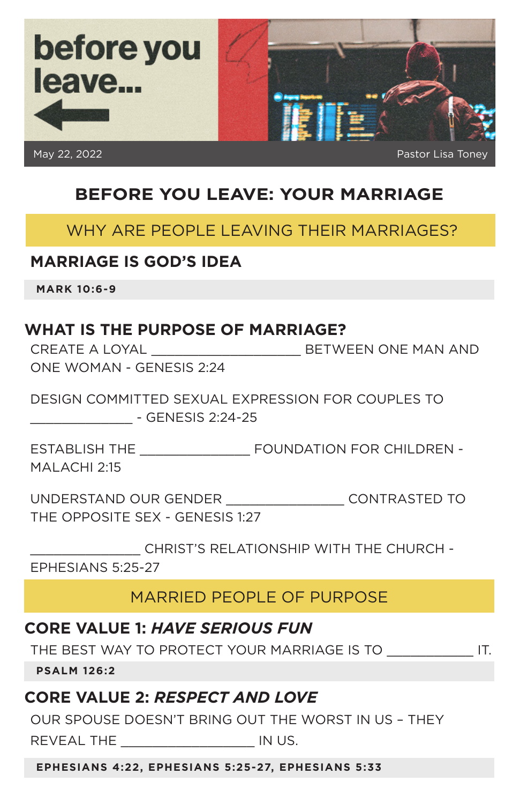

# **BEFORE YOU LEAVE: YOUR MARRIAGE**

#### WHY ARE PEOPLE LEAVING THEIR MARRIAGES?

#### **MARRIAGE IS GOD'S IDEA**

**MARK 10:6-9**

## **WHAT IS THE PURPOSE OF MARRIAGE?**

CREATE A LOYAL \_\_\_\_\_\_\_\_\_\_\_\_\_\_\_\_\_\_\_ BETWEEN ONE MAN AND ONE WOMAN - GENESIS 2:24

DESIGN COMMITTED SEXUAL EXPRESSION FOR COUPLES TO \_\_\_\_\_\_\_\_\_\_\_\_\_ - GENESIS 2:24-25

ESTABLISH THE \_\_\_\_\_\_\_\_\_\_\_\_\_\_ FOUNDATION FOR CHILDREN - MALACHI 2:15

UNDERSTAND OUR GENDER \_\_\_\_\_\_\_\_\_\_\_\_\_\_\_ CONTRASTED TO THE OPPOSITE SEX - GENESIS 1:27

\_\_\_\_\_\_\_\_\_\_\_\_\_\_ CHRIST'S RELATIONSHIP WITH THE CHURCH - EPHESIANS 5:25-27

# MARRIED PEOPLE OF PURPOSE

#### **CORE VALUE 1:** *HAVE SERIOUS FUN*

THE BEST WAY TO PROTECT YOUR MARRIAGE IS TO \_\_\_\_\_\_\_\_\_\_\_ IT.

**PSALM 126:2**

## **CORE VALUE 2:** *RESPECT AND LOVE*

OUR SPOUSE DOESN'T BRING OUT THE WORST IN US – THEY REVEAL THE \_\_\_\_\_\_\_\_\_\_\_\_\_\_\_\_\_ IN US.

**EPHESIANS 4:22, EPHESIANS 5:25-27, EPHESIANS 5:33**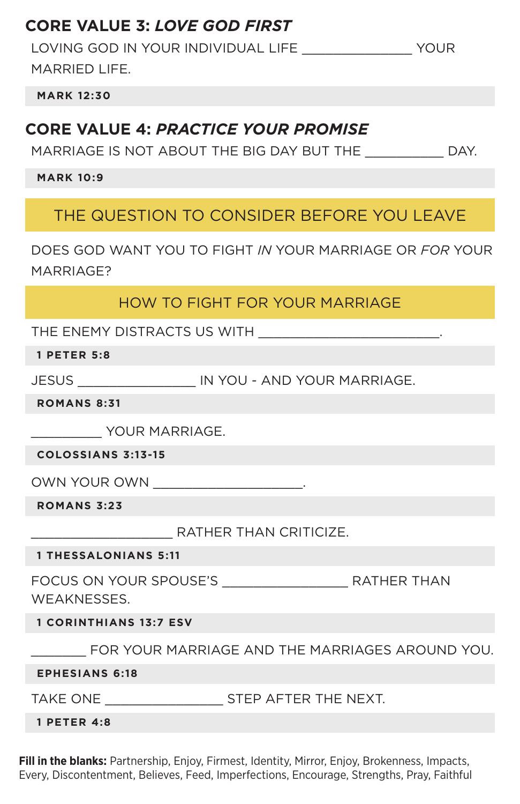# **CORE VALUE 3:** *LOVE GOD FIRST*

LOVING GOD IN YOUR INDIVIDUAL LIFE \_\_\_\_\_\_\_\_\_\_\_\_\_\_ YOUR MARRIED LIFE.

**MARK 12:30**

## **CORE VALUE 4:** *PRACTICE YOUR PROMISE*

MARRIAGE IS NOT ABOUT THE BIG DAY BUT THE \_\_\_\_\_\_\_\_\_\_ DAY.

**MARK 10:9**

THE QUESTION TO CONSIDER BEFORE YOU LEAVE

DOES GOD WANT YOU TO FIGHT *IN* YOUR MARRIAGE OR *FOR* YOUR MARRIAGE?

#### HOW TO FIGHT FOR YOUR MARRIAGE

THE ENEMY DISTRACTS US WITH

**1 PETER 5:8**

JESUS \_\_\_\_\_\_\_\_\_\_\_\_\_\_\_ IN YOU - AND YOUR MARRIAGE.

**ROMANS 8:31**

\_\_\_\_\_\_\_\_\_ YOUR MARRIAGE.

**COLOSSIANS 3:13-15**

OWN YOUR OWN

**ROMANS 3:23**

\_\_\_\_\_\_\_\_\_\_\_\_\_\_\_\_\_\_ RATHER THAN CRITICIZE.

**1 THESSALONIANS 5:11**

FOCUS ON YOUR SPOUSE'S \_\_\_\_\_\_\_\_\_\_\_\_\_\_\_\_ RATHER THAN WEAKNESSES.

**1 CORINTHIANS 13:7 ESV**

\_\_\_\_\_\_\_ FOR YOUR MARRIAGE AND THE MARRIAGES AROUND YOU.

**EPHESIANS 6:18**

TAKE ONE **Example 25 STEP AFTER THE NEXT.** 

**1 PETER 4:8**

**Fill in the blanks:** Partnership, Enjoy, Firmest, Identity, Mirror, Enjoy, Brokenness, Impacts, Every, Discontentment, Believes, Feed, Imperfections, Encourage, Strengths, Pray, Faithful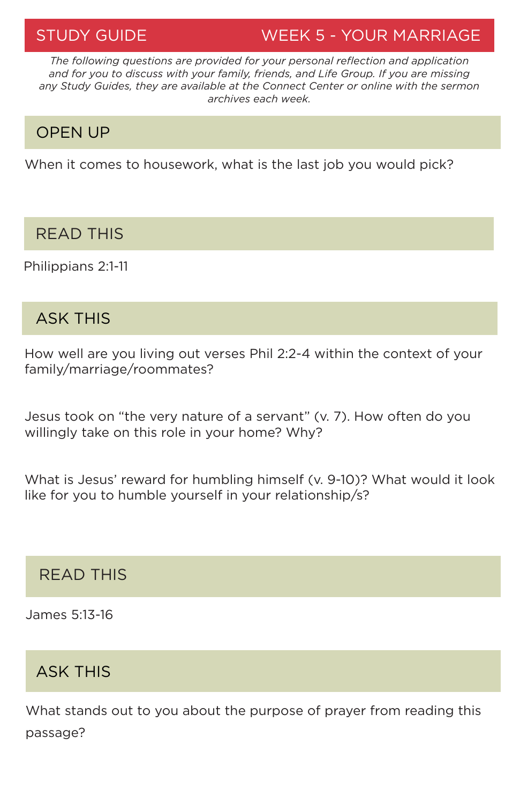# STUDY GUIDE WEEK 5 - YOUR MARRIAGE

*The following questions are provided for your personal reflection and application and for you to discuss with your family, friends, and Life Group. If you are missing any Study Guides, they are available at the Connect Center or online with the sermon archives each week.*

# OPEN UP

When it comes to housework, what is the last job you would pick?

## READ THIS

Philippians 2:1-11

## ASK THIS

How well are you living out verses Phil 2:2-4 within the context of your family/marriage/roommates?

Jesus took on "the very nature of a servant" (v. 7). How often do you willingly take on this role in your home? Why?

What is Jesus' reward for humbling himself (v. 9-10)? What would it look like for you to humble yourself in your relationship/s?

## READ THIS

James 5:13-16

# ASK THIS

What stands out to you about the purpose of prayer from reading this passage?